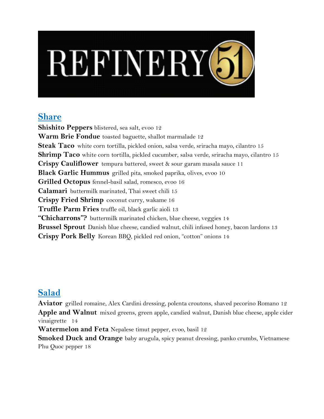# REFINERY 51

## **Share**

**Shishito Peppers** blistered, sea salt, evoo 12 **Warm Brie Fondue** toasted baguette, shallot marmalade 12 **Steak Taco** white corn tortilla, pickled onion, salsa verde, sriracha mayo, cilantro 15 **Shrimp Taco** white corn tortilla, pickled cucumber, salsa verde, sriracha mayo, cilantro 15 **Crispy Cauliflower** tempura battered, sweet & sour garam masala sauce 11 **Black Garlic Hummus** grilled pita, smoked paprika, olives, evoo 10 **Grilled Octopus** fennel-basil salad, romesco, evoo 16 **Calamari** buttermilk marinated, Thai sweet chili 15 **Crispy Fried Shrimp** coconut curry, wakame 16 **Truffle Parm Fries** truffle oil, black garlic aioli 13 **"Chicharrons"?** buttermilk marinated chicken, blue cheese, veggies 14 **Brussel Sprout** Danish blue cheese, candied walnut, chili infused honey, bacon lardons 13 **Crispy Pork Belly** Korean BBQ, pickled red onion, "cotton" onions 14

# **Salad**

**Aviator** grilled romaine, Alex Cardini dressing, polenta croutons, shaved pecorino Romano 12 **Apple and Walnut** mixed greens, green apple, candied walnut, Danish blue cheese, apple cider vinaigrette 14

**Watermelon and Feta** Nepalese timut pepper, evoo, basil 12

**Smoked Duck and Orange** baby arugula, spicy peanut dressing, panko crumbs, Vietnamese Phu Quoc pepper 18